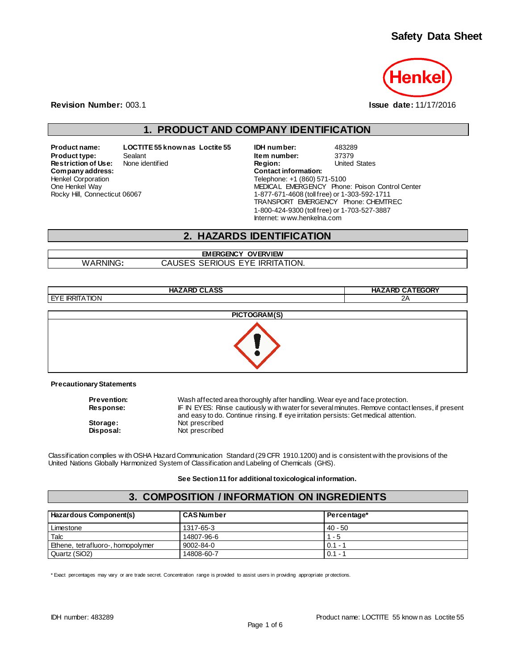### **Safety Data Sheet**



**Revision Number:** 003.1 **Issue date:** 11/17/2016

# **1. PRODUCT AND COMPANY IDENTIFICATION**

**Product name: LOCTITE 55 known as Loctite 55 IDH number:** 483289 **Restriction of Use:** None identified **Region:** Region: United States Company address:  $Company address:$ Henkel Corporation One Henkel Way Rocky Hill, Connecticut 06067

**Product type:** Sealant **Item number:** 37379<br> **Restriction of Use:** None identified **Integral Construct Construct Construct** Construct Construct Construct Const Telephone: +1 (860) 571-5100 MEDICAL EMERGENCY Phone: Poison Control Center 1-877-671-4608 (toll free) or 1-303-592-1711 TRANSPORT EMERGENCY Phone: CHEMTREC 1-800-424-9300 (toll free) or 1-703-527-3887 Internet: w ww.henkelna.com

### **2. HAZARDS IDENTIFICATION**

#### **EMERGENCY OVERVIEW** WARNING**:** CAUSES SERIOUS EYE IRRITATION.

**HAZARD CLASS HAZARD CATEGORY** EYE IRRITATION 2A **PICTOGRAM(S)**



#### **Precautionary Statements**

| Prevention:      | Wash affected area thoroughly after handling. Wear eye and face protection.                    |
|------------------|------------------------------------------------------------------------------------------------|
| <b>Response:</b> | IF IN EYES: Rinse cautiously with water for several minutes. Remove contact lenses, if present |
|                  | and easy to do. Continue rinsing. If eye irritation persists: Get medical attention.           |
| Storage:         | Not prescribed                                                                                 |
| Disposal:        | Not prescribed                                                                                 |

Classification complies w ith OSHA Hazard Communication Standard (29 CFR 1910.1200) and is consistent with the provisions of the United Nations Globally Harmonized System of Classification and Labeling of Chemicals (GHS).

**See Section 11 for additional toxicological information.**

#### **3. COMPOSITION / INFORMATION ON INGREDIENTS**

| Hazardous Component(s)            | l CAS Num ber | Percentage* |
|-----------------------------------|---------------|-------------|
| l Limestone                       | 1317-65-3     | $40 - 50$   |
| Talc                              | 14807-96-6    | $1 - 5$     |
| Ethene, tetrafluoro-, homopolymer | 9002-84-0     | $0.1 - 1$   |
| Quartz (SiO2)                     | 14808-60-7    | $0.1 -$     |

\* Exact percentages may vary or are trade secret. Concentration range is provided to assist users in providing appropriate pr otections.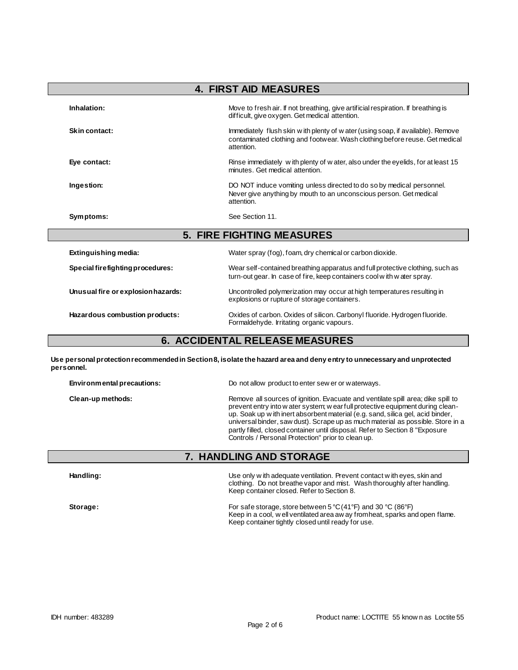| <b>4. FIRST AID MEASURES</b>       |                                                                                                                                                                               |  |
|------------------------------------|-------------------------------------------------------------------------------------------------------------------------------------------------------------------------------|--|
| Inhalation:                        | Move to fresh air. If not breathing, give artificial respiration. If breathing is<br>difficult, give oxygen. Get medical attention.                                           |  |
| Skin contact:                      | Immediately flush skin w ith plenty of w ater (using soap, if available). Remove<br>contaminated clothing and footwear. Wash clothing before reuse. Get medical<br>attention. |  |
| Eye contact:                       | Rinse immediately with plenty of w ater, also under the eyelids, for at least 15<br>minutes. Get medical attention.                                                           |  |
| Ingestion:                         | DO NOT induce vomiting unless directed to do so by medical personnel.<br>Never give anything by mouth to an unconscious person. Get medical<br>attention.                     |  |
| Symptoms:                          | See Section 11.                                                                                                                                                               |  |
|                                    | <b>5. FIRE FIGHTING MEASURES</b>                                                                                                                                              |  |
| Extinguishing media:               | Water spray (fog), foam, dry chemical or carbon dioxide.                                                                                                                      |  |
| Special firefighting procedures:   | Wear self-contained breathing apparatus and full protective clothing, such as<br>turn-out gear. In case of fire, keep containers cool with water spray.                       |  |
| Unusual fire or explosion hazards: | Uncontrolled polymerization may occur at high temperatures resulting in<br>explosions or rupture of storage containers.                                                       |  |
| Hazardous combustion products:     | Oxides of carbon. Oxides of silicon. Carbonyl fluoride. Hydrogen fluoride.<br>Formaldehyde. Irritating organic vapours.                                                       |  |

### **6. ACCIDENTAL RELEASE MEASURES**

**Use personal protection recommended in Section 8, isolate the hazard area and deny entry to unnecessary and unprotected personnel.**

| Environmental precautions: | Do not allow product to enter sew er or waterways.                                                                                                                                                                                                                                                                                                                                                                                                                              |
|----------------------------|---------------------------------------------------------------------------------------------------------------------------------------------------------------------------------------------------------------------------------------------------------------------------------------------------------------------------------------------------------------------------------------------------------------------------------------------------------------------------------|
| Clean-up methods:          | Remove all sources of ignition. Evacuate and ventilate spill area; dike spill to<br>prevent entry into w ater system; w ear full protective equipment during clean-<br>up. Soak up with inert absorbent material (e.g. sand, silica gel, acid binder,<br>universal binder, saw dust). Scrape up as much material as possible. Store in a<br>partly filled, closed container until disposal. Refer to Section 8 "Exposure"<br>Controls / Personal Protection" prior to clean up. |

### **7. HANDLING AND STORAGE**

| Handling: | Use only w ith adequate ventilation. Prevent contact w ith eyes, skin and<br>clothing. Do not breathe vapor and mist. Wash thoroughly after handling.<br>Keep container closed. Refer to Section 8.   |
|-----------|-------------------------------------------------------------------------------------------------------------------------------------------------------------------------------------------------------|
| Storage:  | For safe storage, store between 5 °C (41 °F) and 30 °C (86 °F)<br>Keep in a cool, w ell ventilated area aw ay from heat, sparks and open flame.<br>Keep container tightly closed until ready for use. |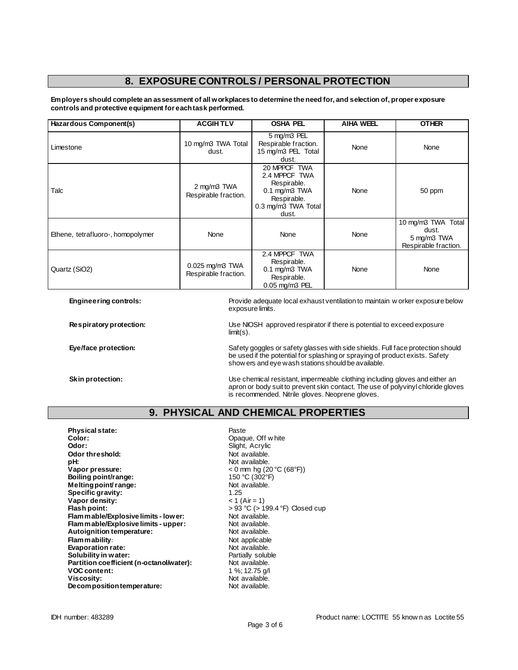# **8. EXPOSURE CONTROLS / PERSONAL PROTECTION**

**Employers should complete an assessment of all workplaces to determine the need for, and selection of, proper exposure controls and protective equipment for each task performed.**

| Hazardous Component(s)            | <b>ACGIHTLV</b>                              | <b>OSHA PEL</b>                                                                                                   | <b>AIHA WEEL</b> | <b>OTHER</b>                                                       |
|-----------------------------------|----------------------------------------------|-------------------------------------------------------------------------------------------------------------------|------------------|--------------------------------------------------------------------|
| Limestone                         | 10 mg/m3 TWA Total<br>dust.                  | 5 mg/m3 PEL<br>Respirable fraction.<br>15 mg/m3 PEL Total<br>dust.                                                | <b>None</b>      | None                                                               |
| Talc                              | 2 mg/m3 TWA<br>Respirable fraction.          | 20 MPPCF TWA<br>2.4 MPPCF TWA<br>Respirable.<br>$0.1$ mg/m $3$ TWA<br>Respirable.<br>0.3 mg/m3 TWA Total<br>dust. | <b>None</b>      | 50 ppm                                                             |
| Ethene, tetrafluoro-, homopolymer | None                                         | None                                                                                                              | None             | 10 mg/m3 TWA Total<br>dust.<br>5 mg/m3 TWA<br>Respirable fraction. |
| Quartz (SiO2)                     | $0.025$ mg/m $3$ TWA<br>Respirable fraction. | 2.4 MPPCF TWA<br>Respirable.<br>$0.1$ mg/m $3$ TWA<br>Respirable.<br>0.05 mg/m3 PEL                               | <b>None</b>      | None                                                               |

**Engineering controls:** Provide adequate local exhaust ventilation to maintain w orker exposure below exposure limits.

**Respiratory protection:** Use NIOSH approved respirator if there is potential to exceed exposure limit(s).

Eye/face protection: **Safety goggles or safety glasses with side shields**. Full face protection should be used if the potential for splashing or spraying of product exists. Safety show ers and eye wash stations should be available.

**Skin protection:** Use chemical resistant, impermeable clothing including gloves and either an under the state of the state of the state of the state of the state of the state of the state of the state of the state of the apron or body suit to prevent skin contact. The use of polyvinyl chloride gloves is recommended. Nitrile gloves. Neoprene gloves.

#### **9. PHYSICAL AND CHEMICAL PROPERTIES**

**Physical state:** Physical state: Paste<br> **Color:** Paste Color: Physical state of Paste Color: Physical state of Paste Color: Physical state of Paste Color **Color:** Opaque, Off w hite **Odor:** Slight, Acrylic **Odor threshold:** Not available.<br> **pH:** Not available. **pH:**  $\blacksquare$  Not available.<br> **Vapor pressure:**  $\blacksquare$   $\blacksquare$   $\blacksquare$   $\blacksquare$   $\blacksquare$   $\blacksquare$   $\blacksquare$   $\blacksquare$   $\blacksquare$   $\blacksquare$   $\blacksquare$   $\blacksquare$   $\blacksquare$   $\blacksquare$   $\blacksquare$   $\blacksquare$   $\blacksquare$   $\blacksquare$   $\blacksquare$   $\blacksquare$   $\blacksquare$   $\blacksquare$   $\blacksquare$   $\blacksquare$   $\blacksquare$  **Vapor pressure:** < 0 mm hg (20 °C (68°F)) **Boiling point/range:** 150 °C (302 °F) **Melting point/ range:** Not available. **Specific gravity:** 1.25 **Vapor density:**  $<$  1 (Air = 1) **Flash point: Flash point: Flash point:**  $> 93^{\circ}$ C (> 199.4 °F) Closed cup<br> **Flam mable/Explosive limits - lower:** Not available. **Flammable/Explosive limits - lower:** Not available.<br> **Flammable/Explosive limits - upper:** Not available. **Flammable/Explosive limits - upper:** Not available.<br> **Autoignition temperature:** Not available. **Autoignition temperature: Flam mability:** Not applicable **Evaporation rate:**<br> **Solubility in water:** Not available.<br> **Solubility in water:** Not available by the Partially soluble **Solubility in water: Partially solub**<br> **Partition coefficient (n-octanol/water):** Not available. Partition coefficient (n-octanol/water): **VOC content:** 1 %; 12.75 g/l<br> **Viscosity:** 1 Not available. Not available.<br>Not available. **Decomposition temperature:**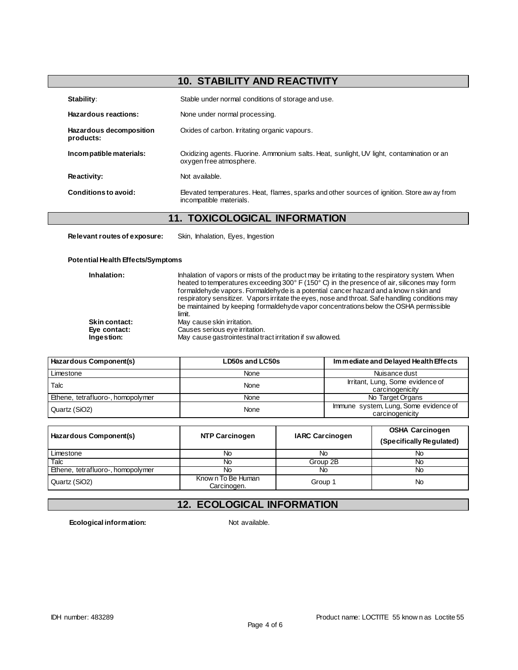# **10. STABILITY AND REACTIVITY**

| Stability:                           | Stable under normal conditions of storage and use.                                                                     |
|--------------------------------------|------------------------------------------------------------------------------------------------------------------------|
| Hazardous reactions:                 | None under normal processing.                                                                                          |
| Hazardous decomposition<br>products: | Oxides of carbon. Irritating organic vapours.                                                                          |
| Incompatible materials:              | Oxidizing agents. Fluorine. Ammonium salts. Heat, sunlight, UV light, contamination or an<br>oxygen free atmosphere.   |
| Reactivity:                          | Not available.                                                                                                         |
| Conditions to avoid:                 | Elevated temperatures. Heat, flames, sparks and other sources of ignition. Store aw ay from<br>incompatible materials. |

### **11. TOXICOLOGICAL INFORMATION**

**Relevant routes of exposure:** Skin, Inhalation, Eyes, Ingestion

#### **Potential Health Effects/Symptoms**

| Inhalation:          | Inhalation of vapors or mists of the product may be irritating to the respiratory system. When<br>heated to temperatures exceeding 300° F (150° C) in the presence of air, silicones may form<br>formaldehyde vapors. Formaldehyde is a potential cancer hazard and a know n skin and |
|----------------------|---------------------------------------------------------------------------------------------------------------------------------------------------------------------------------------------------------------------------------------------------------------------------------------|
|                      | respiratory sensitizer. Vapors irritate the eyes, nose and throat. Safe handling conditions may<br>be maintained by keeping formaldehyde vapor concentrations below the OSHA permissible<br>limit.                                                                                    |
| <b>Skin contact:</b> | May cause skin irritation.                                                                                                                                                                                                                                                            |
| Eye contact:         | Causes serious eye irritation.                                                                                                                                                                                                                                                        |
| Ingestion:           | May cause gastrointestinal tract irritation if swallowed.                                                                                                                                                                                                                             |

| Hazardous Component(s)            | LD50s and LC50s | Immediate and Delayed Health Effects                     |
|-----------------------------------|-----------------|----------------------------------------------------------|
| Limestone                         | None            | Nuisance dust                                            |
| Talc                              | None            | Irritant, Lung, Some evidence of<br>carcinogenicity      |
| Ethene, tetrafluoro-, homopolymer | None            | No Target Organs                                         |
| Quartz (SiO2)                     | None            | Immune system, Lung, Some evidence of<br>carcinogenicity |

| Hazardous Component(s)            | <b>NTP Carcinogen</b>            | <b>IARC Carcinogen</b> | <b>OSHA Carcinogen</b><br>(Specifically Regulated) |
|-----------------------------------|----------------------------------|------------------------|----------------------------------------------------|
| Limestone                         | No                               | No                     | No                                                 |
| Talc                              | No                               | Group 2B               | No                                                 |
| Ethene, tetrafluoro-, homopolymer | No                               | No                     | No                                                 |
| Quartz (SiO2)                     | Known To Be Human<br>Carcinogen. | Group 1                | No                                                 |

# **12. ECOLOGICAL INFORMATION**

**Ecological information:** Not available.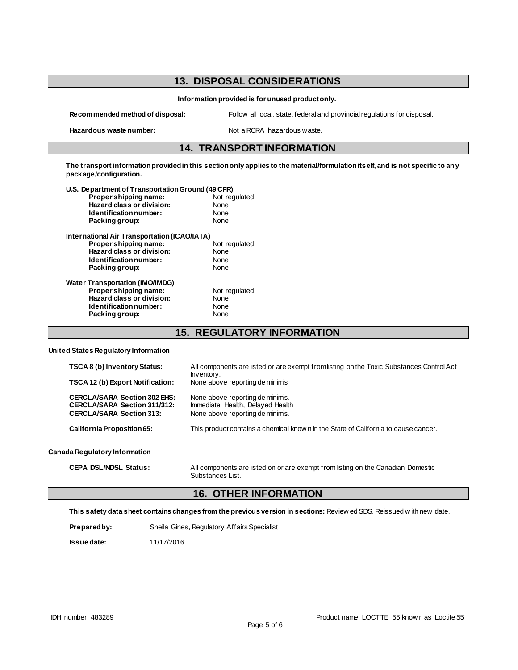# **13. DISPOSAL CONSIDERATIONS**

**Information provided is for unused product only.**

Hazardous waste number: Not a RCRA hazardous waste.

**Recommended method of disposal:** Follow all local, state, federal and provincial regulations for disposal.

### **14. TRANSPORT INFORMATION**

**The transport information provided in this section only applies to the material/formulation itself, and is not specific to any package/configuration.**

| U.S. Department of Transportation Ground (49 CFR) |               |
|---------------------------------------------------|---------------|
| Proper shipping name:                             | Not regulated |
| Hazard class or division:                         | None          |
| Identification number:                            | None          |
| Packing group:                                    | None          |
| International Air Transportation (ICAO/IATA)      |               |
| Proper shipping name:                             | Not regulated |
| Hazard class or division:                         | None          |
| Identification number:                            | None          |
| Packing group:                                    | None          |
| <b>Water Transportation (IMO/IMDG)</b>            |               |
| Proper shipping name:                             | Not regulated |
| Hazard class or division:                         | None          |
| Identification number:                            | None          |
| Packing group:                                    | None          |
|                                                   |               |

**15. REGULATORY INFORMATION**

**United States Regulatory Information**

| <b>TSCA 8 (b) Inventory Status:</b>                                                                           | All components are listed or are exempt from listing on the Toxic Substances Control Act<br>Inventory.   |
|---------------------------------------------------------------------------------------------------------------|----------------------------------------------------------------------------------------------------------|
| <b>TSCA 12 (b) Export Notification:</b>                                                                       | None above reporting de minimis                                                                          |
| <b>CERCLA/SARA Section 302 EHS:</b><br><b>CERCLA/SARA Section 311/312:</b><br><b>CERCLA/SARA Section 313:</b> | None above reporting de minimis.<br>Immediate Health, Delayed Health<br>None above reporting de minimis. |
| California Proposition 65:                                                                                    | This product contains a chemical know n in the State of California to cause cancer.                      |
| Canada Regulatory Information                                                                                 |                                                                                                          |
| <b>CEPA DSL/NDSL Status:</b>                                                                                  | All components are listed on or are exempt from listing on the Canadian Domestic                         |

#### **16. OTHER INFORMATION**

Substances List.

**This safety data sheet contains changes from the previous version in sections:** Review ed SDS. Reissued w ith new date.

| Prepared by: | Sheila Gines, Regulatory Affairs Specialist |
|--------------|---------------------------------------------|
|--------------|---------------------------------------------|

**Issue date:** 11/17/2016